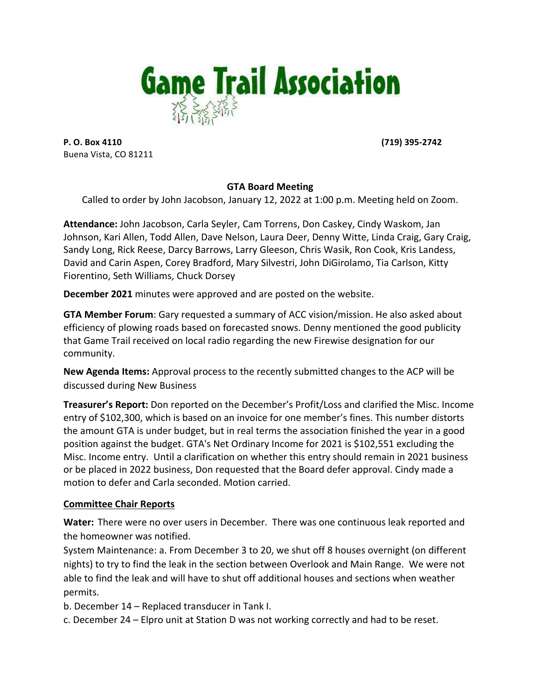

**P. O. Box 4110 (719)** 395-2742 Buena Vista, CO 81211

# **GTA Board Meeting**

Called to order by John Jacobson, January 12, 2022 at 1:00 p.m. Meeting held on Zoom.

**Attendance:** John Jacobson, Carla Seyler, Cam Torrens, Don Caskey, Cindy Waskom, Jan Johnson, Kari Allen, Todd Allen, Dave Nelson, Laura Deer, Denny Witte, Linda Craig, Gary Craig, Sandy Long, Rick Reese, Darcy Barrows, Larry Gleeson, Chris Wasik, Ron Cook, Kris Landess, David and Carin Aspen, Corey Bradford, Mary Silvestri, John DiGirolamo, Tia Carlson, Kitty Fiorentino, Seth Williams, Chuck Dorsey

**December 2021** minutes were approved and are posted on the website.

**GTA Member Forum**: Gary requested a summary of ACC vision/mission. He also asked about efficiency of plowing roads based on forecasted snows. Denny mentioned the good publicity that Game Trail received on local radio regarding the new Firewise designation for our community.

**New Agenda Items:** Approval process to the recently submitted changes to the ACP will be discussed during New Business

**Treasurer's Report:** Don reported on the December's Profit/Loss and clarified the Misc. Income entry of \$102,300, which is based on an invoice for one member's fines. This number distorts the amount GTA is under budget, but in real terms the association finished the year in a good position against the budget. GTA's Net Ordinary Income for 2021 is \$102,551 excluding the Misc. Income entry. Until a clarification on whether this entry should remain in 2021 business or be placed in 2022 business, Don requested that the Board defer approval. Cindy made a motion to defer and Carla seconded. Motion carried.

# **Committee Chair Reports**

**Water:** There were no over users in December. There was one continuous leak reported and the homeowner was notified.

System Maintenance: a. From December 3 to 20, we shut off 8 houses overnight (on different nights) to try to find the leak in the section between Overlook and Main Range. We were not able to find the leak and will have to shut off additional houses and sections when weather permits.

b. December 14 - Replaced transducer in Tank I.

c. December 24 – Elpro unit at Station D was not working correctly and had to be reset.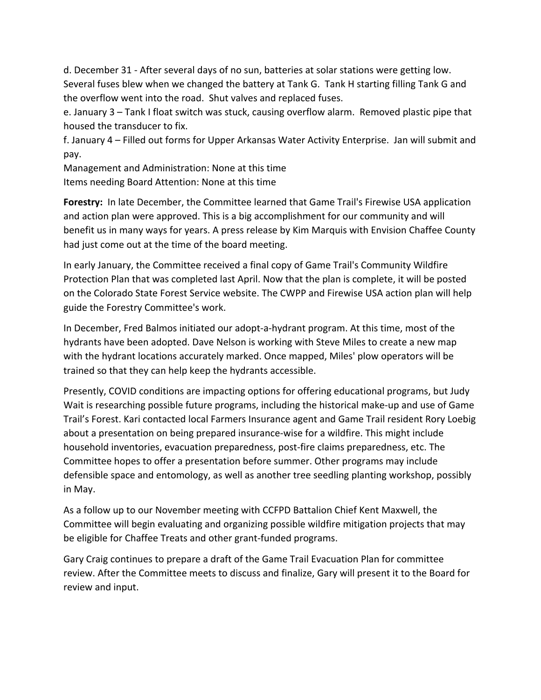d. December 31 - After several days of no sun, batteries at solar stations were getting low. Several fuses blew when we changed the battery at Tank G. Tank H starting filling Tank G and the overflow went into the road. Shut valves and replaced fuses.

e. January 3 - Tank I float switch was stuck, causing overflow alarm. Removed plastic pipe that housed the transducer to fix.

f. January 4 - Filled out forms for Upper Arkansas Water Activity Enterprise. Jan will submit and pay.

Management and Administration: None at this time Items needing Board Attention: None at this time

**Forestry:** In late December, the Committee learned that Game Trail's Firewise USA application and action plan were approved. This is a big accomplishment for our community and will benefit us in many ways for years. A press release by Kim Marquis with Envision Chaffee County had just come out at the time of the board meeting.

In early January, the Committee received a final copy of Game Trail's Community Wildfire Protection Plan that was completed last April. Now that the plan is complete, it will be posted on the Colorado State Forest Service website. The CWPP and Firewise USA action plan will help guide the Forestry Committee's work.

In December, Fred Balmos initiated our adopt-a-hydrant program. At this time, most of the hydrants have been adopted. Dave Nelson is working with Steve Miles to create a new map with the hydrant locations accurately marked. Once mapped, Miles' plow operators will be trained so that they can help keep the hydrants accessible.

Presently, COVID conditions are impacting options for offering educational programs, but Judy Wait is researching possible future programs, including the historical make-up and use of Game Trail's Forest. Kari contacted local Farmers Insurance agent and Game Trail resident Rory Loebig about a presentation on being prepared insurance-wise for a wildfire. This might include household inventories, evacuation preparedness, post-fire claims preparedness, etc. The Committee hopes to offer a presentation before summer. Other programs may include defensible space and entomology, as well as another tree seedling planting workshop, possibly in May.

As a follow up to our November meeting with CCFPD Battalion Chief Kent Maxwell, the Committee will begin evaluating and organizing possible wildfire mitigation projects that may be eligible for Chaffee Treats and other grant-funded programs.

Gary Craig continues to prepare a draft of the Game Trail Evacuation Plan for committee review. After the Committee meets to discuss and finalize, Gary will present it to the Board for review and input.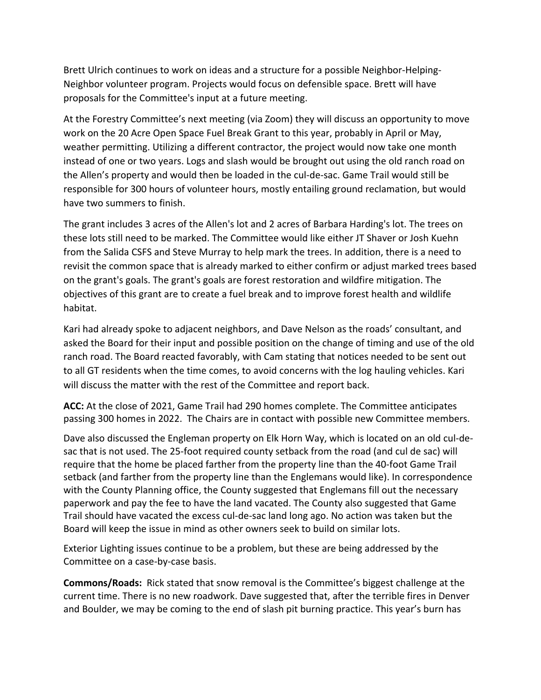Brett Ulrich continues to work on ideas and a structure for a possible Neighbor-Helping-Neighbor volunteer program. Projects would focus on defensible space. Brett will have proposals for the Committee's input at a future meeting.

At the Forestry Committee's next meeting (via Zoom) they will discuss an opportunity to move work on the 20 Acre Open Space Fuel Break Grant to this year, probably in April or May, weather permitting. Utilizing a different contractor, the project would now take one month instead of one or two years. Logs and slash would be brought out using the old ranch road on the Allen's property and would then be loaded in the cul-de-sac. Game Trail would still be responsible for 300 hours of volunteer hours, mostly entailing ground reclamation, but would have two summers to finish.

The grant includes 3 acres of the Allen's lot and 2 acres of Barbara Harding's lot. The trees on these lots still need to be marked. The Committee would like either JT Shaver or Josh Kuehn from the Salida CSFS and Steve Murray to help mark the trees. In addition, there is a need to revisit the common space that is already marked to either confirm or adjust marked trees based on the grant's goals. The grant's goals are forest restoration and wildfire mitigation. The objectives of this grant are to create a fuel break and to improve forest health and wildlife habitat.

Kari had already spoke to adjacent neighbors, and Dave Nelson as the roads' consultant, and asked the Board for their input and possible position on the change of timing and use of the old ranch road. The Board reacted favorably, with Cam stating that notices needed to be sent out to all GT residents when the time comes, to avoid concerns with the log hauling vehicles. Kari will discuss the matter with the rest of the Committee and report back.

**ACC:** At the close of 2021, Game Trail had 290 homes complete. The Committee anticipates passing 300 homes in 2022. The Chairs are in contact with possible new Committee members.

Dave also discussed the Engleman property on Elk Horn Way, which is located on an old cul-desac that is not used. The 25-foot required county setback from the road (and cul de sac) will require that the home be placed farther from the property line than the 40-foot Game Trail setback (and farther from the property line than the Englemans would like). In correspondence with the County Planning office, the County suggested that Englemans fill out the necessary paperwork and pay the fee to have the land vacated. The County also suggested that Game Trail should have vacated the excess cul-de-sac land long ago. No action was taken but the Board will keep the issue in mind as other owners seek to build on similar lots.

Exterior Lighting issues continue to be a problem, but these are being addressed by the Committee on a case-by-case basis.

**Commons/Roads:** Rick stated that snow removal is the Committee's biggest challenge at the current time. There is no new roadwork. Dave suggested that, after the terrible fires in Denver and Boulder, we may be coming to the end of slash pit burning practice. This year's burn has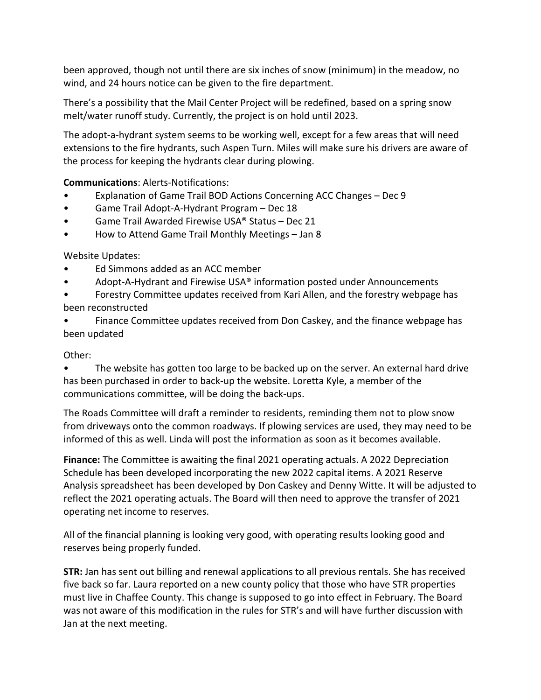been approved, though not until there are six inches of snow (minimum) in the meadow, no wind, and 24 hours notice can be given to the fire department.

There's a possibility that the Mail Center Project will be redefined, based on a spring snow melt/water runoff study. Currently, the project is on hold until 2023.

The adopt-a-hydrant system seems to be working well, except for a few areas that will need extensions to the fire hydrants, such Aspen Turn. Miles will make sure his drivers are aware of the process for keeping the hydrants clear during plowing.

**Communications**: Alerts-Notifications:

- Explanation of Game Trail BOD Actions Concerning ACC Changes Dec 9
- Game Trail Adopt-A-Hydrant Program Dec 18
- Game Trail Awarded Firewise USA® Status Dec 21
- How to Attend Game Trail Monthly Meetings Jan 8

Website Updates:

- Ed Simmons added as an ACC member
- Adopt-A-Hydrant and Firewise USA® information posted under Announcements
- Forestry Committee updates received from Kari Allen, and the forestry webpage has been reconstructed

Finance Committee updates received from Don Caskey, and the finance webpage has been updated

# Other:

The website has gotten too large to be backed up on the server. An external hard drive has been purchased in order to back-up the website. Loretta Kyle, a member of the communications committee, will be doing the back-ups.

The Roads Committee will draft a reminder to residents, reminding them not to plow snow from driveways onto the common roadways. If plowing services are used, they may need to be informed of this as well. Linda will post the information as soon as it becomes available.

**Finance:** The Committee is awaiting the final 2021 operating actuals. A 2022 Depreciation Schedule has been developed incorporating the new 2022 capital items. A 2021 Reserve Analysis spreadsheet has been developed by Don Caskey and Denny Witte. It will be adjusted to reflect the 2021 operating actuals. The Board will then need to approve the transfer of 2021 operating net income to reserves.

All of the financial planning is looking very good, with operating results looking good and reserves being properly funded.

**STR:** Jan has sent out billing and renewal applications to all previous rentals. She has received five back so far. Laura reported on a new county policy that those who have STR properties must live in Chaffee County. This change is supposed to go into effect in February. The Board was not aware of this modification in the rules for STR's and will have further discussion with Jan at the next meeting.